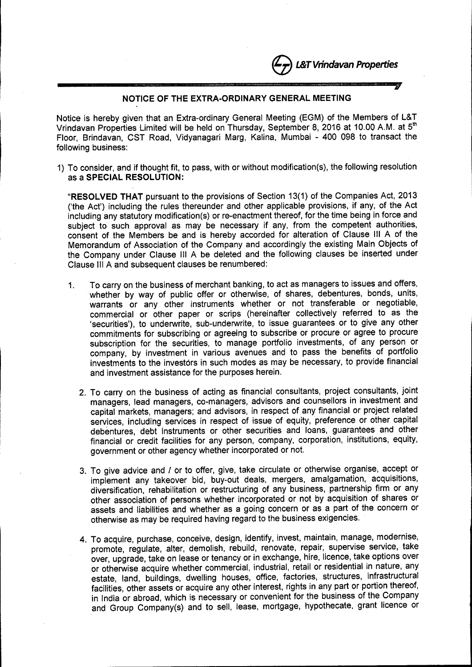e*L&TVrindavan Properties*

## **------------------------------\_.,. NOTICE OF THE EXTRA-ORDINARY GENERAL MEETING**

Notice is hereby given that an Extra-ordinary General Meeting (EGM) of the Members of **L&T** Vrindavan Properties Limited will be held on Thursday, September 8, 2016 at 10.00 A.M. at  $5<sup>th</sup>$ Floor, Brindavan, CST Road, Vidyanagari Marg, Kalina, Mumbai - 400 098 to transact the following business:

1) To consider, and if thought fit, to pass, with or without modification(s), the following resolution as a **SPECIAL RESOLUTION:**

**"RESOLVED THAT** pursuant to the provisions of Section 13(1) of the Companies Act, 2013 ('the Act') including the rules thereunder and other applicable provisions, if any, of the Act including any statutory modification(s) or re-enactment thereof, for the time being in force and subject to such approval as may be necessary if any, from the competent authorities, consent of the Members be and is hereby accorded for alteration of Clause III A of the Memorandum of Association of the Company and accordingly the existing Main Objects of the Company under Clause III A be deleted and the following clauses be inserted under Clause III A and subsequent clauses be renumbered:

- 1. To carry on the business of merchant banking, to act as managers to issues and offers, whether by way of public offer or otherwise, of shares, debentures, bonds, units, warrants or any other instruments whether or not transferable or negotiable, commercial or other paper or scrips (hereinafter collectively referred to as the 'securities'), to underwrite, sub-underwrite, to issue guarantees or to give any other commitments for subscribing or agreeing to subscribe or procure or agree to procure subscription for the securities, to manage portfolio investments, of any person or company, by investment in various avenues and to pass the benefits of portfolio investments to the investors in such modes as may be necessary, to provide financial and investment assistance for the purposes herein.
	- 2. To carry on the business of acting as financial consultants, project consultants, joint managers, lead managers, co-managers, advisors and counsellors in investment and capital markets, managers; and advisors, in respect of any financial or project related services, including services in respect of issue of equity, preference or other capital debentures, debt instruments or other securities and loans, guarantees and other financial or credit facilities for any person, company, corporation, institutions, equity, government or other agency whether incorporated or not.
	- 3. To give advice and *I* or to offer, give, take circulate or otherwise organise, accept or implement any takeover bid, buy-out deals, mergers, amalgamation, acquisitions, diversification, rehabilitation or restructuring of any business, partnership firm or any other association of persons whether incorporated or not by acquisition of shares or assets and liabilities and whether as a going concern or as a part of the concern or otherwise as may be required having regard to the business exigencies.
	- 4. To acquire, purchase, conceive, design, identify, invest, maintain, manage, modernise, promote, regulate, alter, demolish, rebuild, renovate, repair, supervise service, take over, upgrade, take on lease or tenancy or in exchange, hire, licence, take options over or otherwise acquire whether commercial, industrial, retail or residential in nature, any estate, land, buildings, dwelling houses, office, factories, structures, infrastructural facilities, other assets or acquire any other interest, rights in any part or portion thereof, in India or abroad, which is necessary or convenient for the business of the Company and Group Company(s) and to sell, lease, mortgage, hypothecate, grant licence or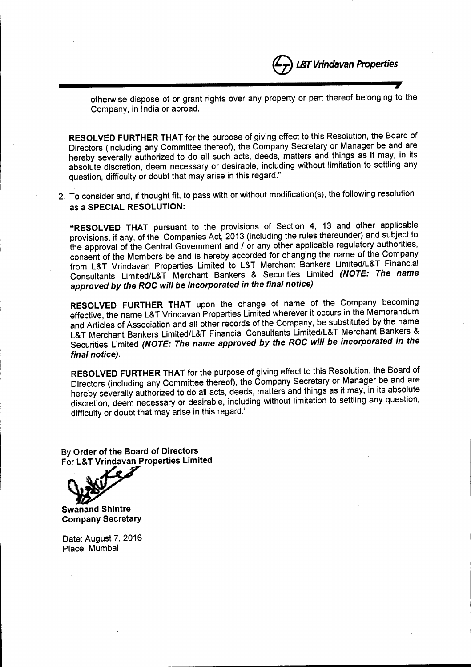

**»**

otherwise dispose of or grant rights over any property or part thereof belonging to the Company, in India or abroad.

RESOLVED FURTHER THAT for the purpose of giving effect to this Resolution, the Board of Directors (including any Committee thereof), the Company Secretary or Manager be and are hereby severally authorized to do all such acts, deeds, matters and things as it may, in its absolute discretion, deem necessary or desirable, including without limitation to settling any question, difficulty or doubt that may arise in this regard."

2. To consider and, if thought fit, to pass with or without modification(s), the following resolution as a SPECIAL RESOLUTION:

"RESOLVED THAT pursuant to the provisions of Section 4, 13 and other applicable provisions, if any, of the Companies Act, 2013 (including the rules thereunder) and subject to the approval of the Central Government and *I* or any other applicable regulatory authorities, consent of the Members be and is hereby accorded for changing the name of the Company from L&T Vrindavan Properties Limited to L&T Merchant Bankers Limited/L&T Financial Consultants Limited/L& T Merchant Bankers & Securities Limited *(NOTE: The name approved by the ROC will be incorporated in the final notice)*

RESOLVED FURTHER THAT upon the change of name of the Company becoming effective, the name L&T Vrindavan Properties Limited wherever it occurs in the Memorandum and Articles of Association and all other records of the Company, be substituted by the name L&T Merchant Bankers Limited/L&T Financial Consultants Limited/L&T Merchant Bankers & Securities Limited *(NOTE: The name approved by the ROC will be incorporated in the final notice).*

RESOLVED FURTHER THAT for the purpose of giving effect to this Resolution, the Board of Directors (including any Committee thereof), the Company Secretary or Manager be and are hereby severally authorized to do all acts, deeds, matters and things as it may, in its absolute discretion, deem necessary or desirable, including without limitation to settling any question, difficulty or doubt that may arise in this regard."

By Order of the Board of Directors For L&T Vrindavan Properties Limited

,r.:

Swanand Shintre Company Secretary

Date: August 7,2016 Place: Mumbai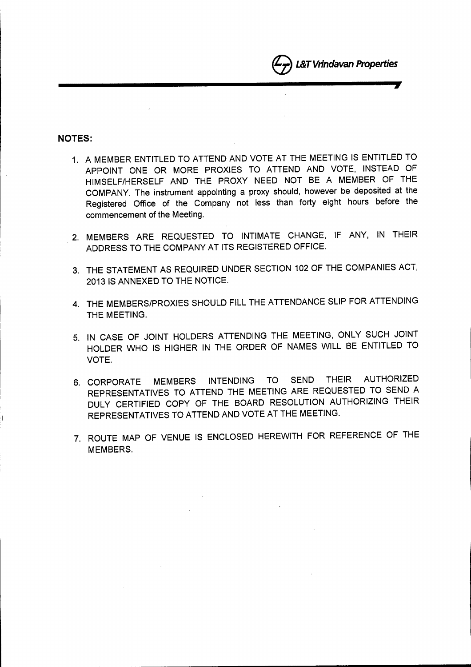

## **NOTES:**

I

- 1. A MEMBER ENTITLED TO ATTEND AND VOTE AT THE MEETING IS ENTITLED TO APPOINT ONE OR MORE PROXIES TO ATTEND AND VOTE, INSTEAD OF HIMSELF/HERSELF AND THE PROXY NEED NOT BE A MEMBER OF THE COMPANY. The instrument appointing a proxy should, however be deposited at the Registered Office of the Company not less than forty eight hours before the commencement of the Meeting.
- 2. MEMBERS ARE REQUESTED TO INTIMATE CHANGE, IF ANY, IN THEIR ADDRESS TO THE COMPANY AT ITS REGISTERED OFFICE.
- 3. THE STATEMENT AS REQUIRED UNDER SECTION 102 OF THE COMPANIES ACT, 2013 IS ANNEXED TO THE NOTICE.
- 4. THE MEMBERS/PROXIES SHOULD FILL THE ATTENDANCE SLIP FOR ATTENDING THE MEETING.
- 5. IN CASE OF JOINT HOLDERS ATTENDING THE MEETING, ONLY SUCH JOINT HOLDER WHO IS HIGHER IN THE ORDER OF NAMES WILL BE ENTITLED TO VOTE.
- 6. CORPORATE MEMBERS INTENDING TO SEND THEIR AUTHORIZED REPRESENTATIVES TO ATTEND THE MEETING ARE REQUESTED TO SEND A DULY CERTIFIED COpy OF THE BOARD RESOLUTION AUTHORIZING THEIR REPRESENTATIVES TO ATTEND AND VOTE AT THE MEETING.
- 7. ROUTE MAP OF VENUE IS ENCLOSED HEREWITH FOR REFERENCE OF THE MEMBERS.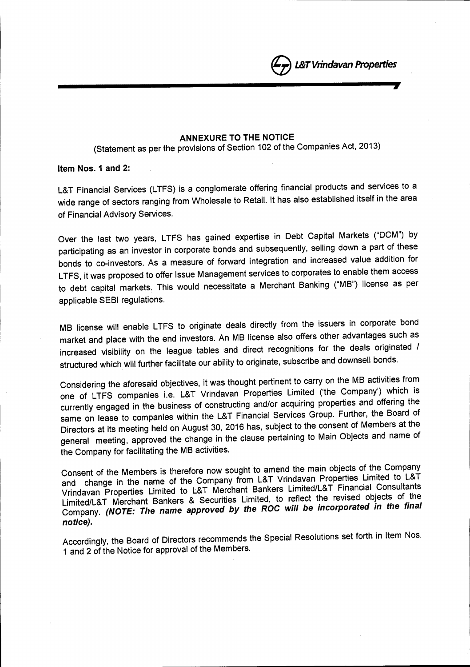

**----------------------,.**

e£&1 *Vrindavan Properties*

(Statement as per the provisions of Section 102 of the Companies Act, 2013)

Item Nos. 1 and 2:

L&T Financial Services (LTFS) is a conglomerate offering financial products and services to a wide range of sectors ranging from Wholesale to Retail. It has also established itself in the area of Financial Advisory Services.

Over the last two years, LTFS has gained expertise in Debt Capital Markets ("DCM") by participating as an investor in corporate bonds and subsequently, selling down a part of these bonds to co-investors. As a measure of forward integration and increased value addition for LTFS, it was proposed to offer Issue Management services to corporates to enable them access to debt capital markets. This would necessitate a Merchant Banking ("MB") license as per applicable SEBI regulations.

MB license will enable LTFS to originate deals directly from the issuers in corporate bond market and place with the end investors. An MB license also offers other advantages such as increased visibility on the league tables and direct recognitions for the deals originated / structured which will further facilitate our ability to originate, subscribe and downsell bonds.

Considering the aforesaid objectives, it was thought pertinent to carry on the MB activities from one of LTFS companies i.e. L&T Vrindavan Properties Limited ('the Company') which is currently engaged in the business of constructing and/or acquiring properties and offering the same on lease to companies within the L&T Financial Services Group. Further, the Board of Directors at its meeting held on August 30, 2016 has, subject to the consent of Members at the general meeting, approved the change in the clause pertaining to Main Objects and name of the Company for facilitating the MB activities.

Consent of the Members is therefore now sought to amend the main objects of the Company and change in the name of the Company from L&T Vrindavan Properties Limited to L&T Vrindavan Properties Limited to L&T Merchant Bankers Limited/L&T Financial Consultants Limited/L&T Merchant Bankers & Securities Limited, to reflect the revised objects of the Company. *(NOTE: The* name *approved by the ROC will be incorporated in the final notice).*

Accordingly, the Board of Directors recommends the Special Resolutions set forth in Item Nos. 1 and 2 of the Notice for approval of the Members.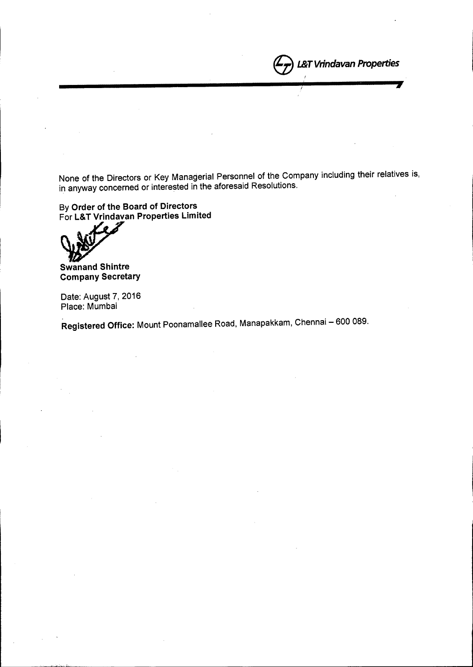None of the Directors or Key Managerial Personnel of the Company including their relatives is, in anyway concerned or interested in the aforesaid Resolutions.

**1257 Vrindavan Properties** 

eI.&T *Vrindavan Properties*

I

By Order of the Board of Directors For L&T Vrindavan Properties Limited

Swanand Shintre Company Secretary

Date: August 7, 2016 Place: Mumbai

Registered Office: Mount Poonamallee Road, Manapakkam, Chennai - 600 089.